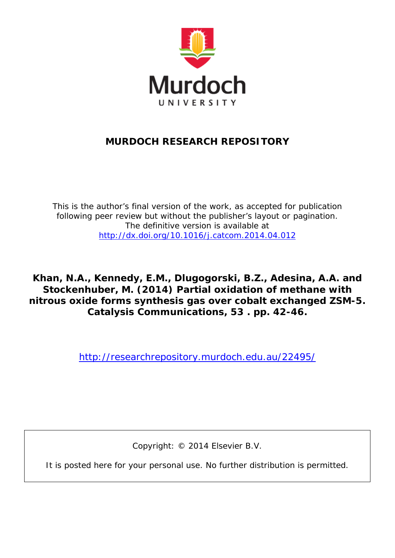

### **MURDOCH RESEARCH REPOSITORY**

*This is the author's final version of the work, as accepted for publication following peer review but without the publisher's layout or pagination. The definitive version is available at <http://dx.doi.org/10.1016/j.catcom.2014.04.012>*

**Khan, N.A., Kennedy, E.M., Dlugogorski, B.Z., Adesina, A.A. and Stockenhuber, M. (2014) Partial oxidation of methane with nitrous oxide forms synthesis gas over cobalt exchanged ZSM-5. Catalysis Communications, 53 . pp. 42-46.**

<http://researchrepository.murdoch.edu.au/22495/>

Copyright: © 2014 Elsevier B.V.

It is posted here for your personal use. No further distribution is permitted.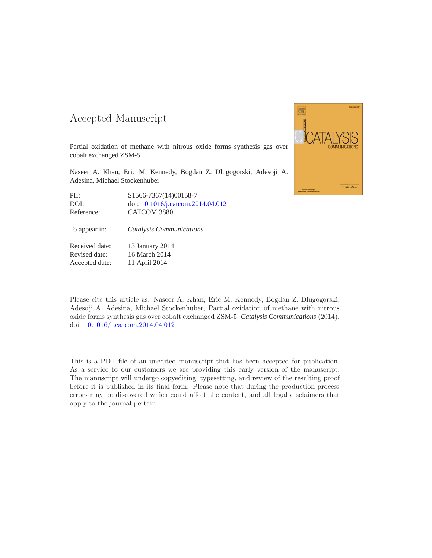### -- -

Partial oxidation of methane with nitrous oxide forms synthesis gas over cobalt exchanged ZSM-5

Naseer A. Khan, Eric M. Kennedy, Bogdan Z. Dlugogorski, Adesoji A. Adesina, Michael Stockenhuber

| PII:       | S1566-7367(14)00158-7             |
|------------|-----------------------------------|
| DOI:       | doi: 10.1016/j.catcom.2014.04.012 |
| Reference: | CATCOM 3880                       |

To appear in: *Catalysis Communications*

Received date: 13 January 2014 Revised date: 16 March 2014 Accepted date: 11 April 2014



Please cite this article as: Naseer A. Khan, Eric M. Kennedy, Bogdan Z. Dlugogorski, Adesoji A. Adesina, Michael Stockenhuber, Partial oxidation of methane with nitrous oxide forms synthesis gas over cobalt exchanged ZSM-5, *Catalysis Communications* (2014), doi: [10.1016/j.catcom.2014.04.012](http://dx.doi.org/10.1016/j.catcom.2014.04.012)

This is a PDF file of an unedited manuscript that has been accepted for publication. As a service to our customers we are providing this early version of the manuscript. The manuscript will undergo copyediting, typesetting, and review of the resulting proof before it is published in its final form. Please note that during the production process errors may be discovered which could affect the content, and all legal disclaimers that apply to the journal pertain.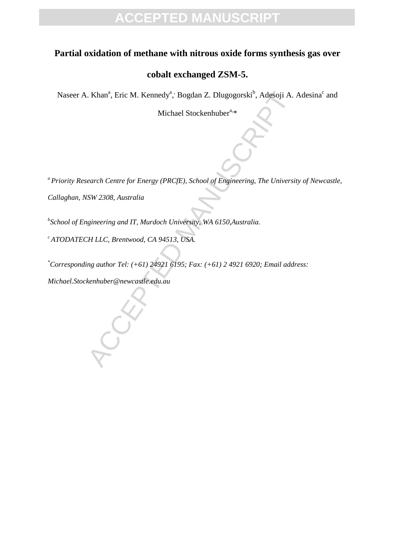### **Partial oxidation of methane with nitrous oxide forms synthesis gas over**

### **cobalt exchanged ZSM-5.**

Naseer A. Khan<sup>a</sup>, Eric M. Kennedy<sup>a</sup>, Bogdan Z. Dlugogorski<sup>b</sup>, Adesoji A. Adesina<sup>c</sup> and

Michael Stockenhuber<sup>a,\*</sup>

. Khan<sup>a</sup>, Eric M. Kennedy<sup>a</sup>, Bogdan Z. Dlugogorski<sup>b</sup>, Adesoji A.<br>
Michael Stockenhuber<sup>4.</sup>\*<br>
earch Centre for Energy (PRCfE), School of Engineering, The University<br>
SW 2308, Australia<br>
string and IT, Murdoch University, *<sup>a</sup> Priority Research Centre for Energy (PRCfE), School of Engineering, The University of Newcastle,* 

*Callaghan, NSW 2308, Australia*

*b School of Engineering and IT, Murdoch University, WA 6150,Australia.*

*<sup>c</sup> ATODATECH LLC, Brentwood, CA 94513, USA.* 

\**Corresponding author Tel: (+61) 24921 6195; Fax: (+61) 2 4921 6920; Email address:* 

*Michael.Stockenhuber@newcastle.edu.au*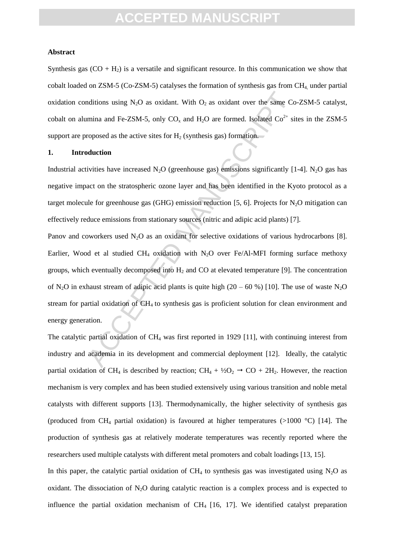#### **Abstract**

Synthesis gas  $(CO + H_2)$  is a versatile and significant resource. In this communication we show that cobalt loaded on  $ZSM-5$  (Co-ZSM-5) catalyses the formation of synthesis gas from  $CH<sub>4</sub>$  under partial oxidation conditions using  $N_2O$  as oxidant. With  $O_2$  as oxidant over the same Co-ZSM-5 catalyst, cobalt on alumina and Fe-ZSM-5, only  $CO_x$  and  $H_2O$  are formed. Isolated  $Co^{2+}$  sites in the ZSM-5 support are proposed as the active sites for  $H_2$  (synthesis gas) formation.

#### **1. Introduction**

Industrial activities have increased  $N_2O$  (greenhouse gas) emissions significantly [1-4]. N<sub>2</sub>O gas has negative impact on the stratospheric ozone layer and has been identified in the Kyoto protocol as a target molecule for greenhouse gas (GHG) emission reduction [5, 6]. Projects for  $N_2O$  mitigation can effectively reduce emissions from stationary sources (nitric and adipic acid plants) [7].

ditions using N<sub>2</sub>O as oxidant. With O<sub>2</sub> as oxidant over the same Commina and Fe-ZSM-5, only CO<sub>3</sub> and H<sub>2</sub>O are formed. Isolated Co<sup>2+</sup> sipposed as the active sites for H<sub>2</sub> (synthesis gas) formation.<br> **Accelentify** as Panov and coworkers used  $N_2O$  as an oxidant for selective oxidations of various hydrocarbons [8]. Earlier, Wood et al studied  $CH_4$  oxidation with N<sub>2</sub>O over Fe/Al-MFI forming surface methoxy groups, which eventually decomposed into  $H_2$  and CO at elevated temperature [9]. The concentration of N<sub>2</sub>O in exhaust stream of adipic acid plants is quite high (20 – 60 %) [10]. The use of waste N<sub>2</sub>O stream for partial oxidation of CH<sub>4</sub> to synthesis gas is proficient solution for clean environment and energy generation.

The catalytic partial oxidation of CH<sub>4</sub> was first reported in 1929 [11], with continuing interest from industry and academia in its development and commercial deployment [12]. Ideally, the catalytic partial oxidation of CH<sub>4</sub> is described by reaction; CH<sub>4</sub> +  $\frac{1}{2}O_2 \rightarrow CO + 2H_2$ . However, the reaction mechanism is very complex and has been studied extensively using various transition and noble metal catalysts with different supports [13]. Thermodynamically, the higher selectivity of synthesis gas (produced from CH<sub>4</sub> partial oxidation) is favoured at higher temperatures ( $>1000$  °C) [14]. The production of synthesis gas at relatively moderate temperatures was recently reported where the researchers used multiple catalysts with different metal promoters and cobalt loadings [13, 15].

In this paper, the catalytic partial oxidation of  $CH_4$  to synthesis gas was investigated using N<sub>2</sub>O as oxidant. The dissociation of  $N_2O$  during catalytic reaction is a complex process and is expected to influence the partial oxidation mechanism of  $CH_4$  [16, 17]. We identified catalyst preparation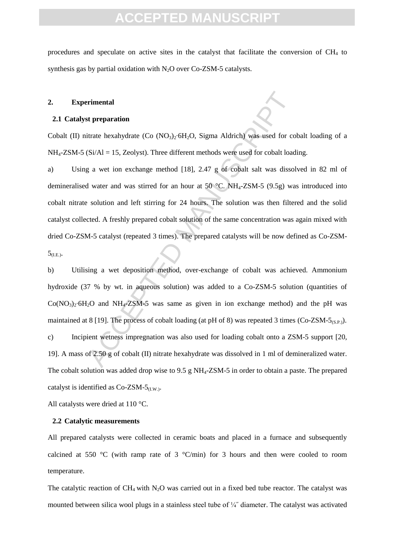procedures and speculate on active sites in the catalyst that facilitate the conversion of  $CH<sub>4</sub>$  to synthesis gas by partial oxidation with  $N_2O$  over  $Co-ZSM-5$  catalysts.

#### **2. Experimental**

#### **2.1 Catalyst preparation**

Cobalt (II) nitrate hexahydrate (Co (NO<sub>3</sub>)<sub>2</sub>⋅6H<sub>2</sub>O, Sigma Aldrich) was used for cobalt loading of a  $NH<sub>4</sub>-ZSM-5$  (Si/Al = 15, Zeolyst). Three different methods were used for cobalt loading.

a) Using a wet ion exchange method [18], 2.47 g of cobalt salt was dissolved in 82 ml of demineralised water and was stirred for an hour at 50 °C. NH4-ZSM-5 (9.5g) was introduced into cobalt nitrate solution and left stirring for 24 hours. The solution was then filtered and the solid catalyst collected. A freshly prepared cobalt solution of the same concentration was again mixed with dried Co-ZSM-5 catalyst (repeated 3 times). The prepared catalysts will be now defined as Co-ZSM- $5_{(\text{I.E.})}$ .

Frimental<br>
at preparation<br>
dirate hexahydrate (Co (NO<sub>3</sub>)<sub>2</sub>·6H<sub>2</sub>O, Sigma Aldrich) was used for co<br>
(Si/Al = 15, Zeolyst). Three different methods were used for cobalt load<br>
g a wet ion exchange method [18], 2.47 g of co b) Utilising a wet deposition method, over-exchange of cobalt was achieved. Ammonium hydroxide (37 % by wt. in aqueous solution) was added to a Co-ZSM-5 solution (quantities of Co(NO3)2∙6H2O and NH4-ZSM-5 was same as given in ion exchange method) and the pH was maintained at 8 [19]. The process of cobalt loading (at pH of 8) was repeated 3 times (Co-ZSM-5<sub>(S.P.)</sub>). c) Incipient wetness impregnation was also used for loading cobalt onto a ZSM-5 support [20, 19]. A mass of 2.50 g of cobalt (II) nitrate hexahydrate was dissolved in 1 ml of demineralized water. The cobalt solution was added drop wise to 9.5 g NH4-ZSM-5 in order to obtain a paste. The prepared catalyst is identified as  $Co-ZSM-5<sub>(I.W.)</sub>$ .

All catalysts were dried at 110 °C.

#### **2.2 Catalytic measurements**

All prepared catalysts were collected in ceramic boats and placed in a furnace and subsequently calcined at 550  $^{\circ}$ C (with ramp rate of 3  $^{\circ}$ C/min) for 3 hours and then were cooled to room temperature.

The catalytic reaction of  $CH_4$  with N<sub>2</sub>O was carried out in a fixed bed tube reactor. The catalyst was mounted between silica wool plugs in a stainless steel tube of ¼˝ diameter. The catalyst was activated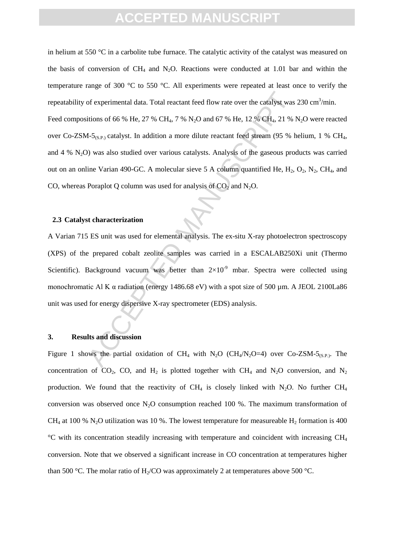of experimental data. Total reactant feed flow rate over the catalyst was<br>titions of 66 % He, 27 % CH<sub>4</sub>, 7 % N<sub>2</sub>O and 67 % He, 12 % CH<sub>4</sub>, 21 % 1-5<sub>0SP</sub>, catalyst. In addition a more dilute reactant feed stream (95 % H) in helium at 550  $\degree$ C in a carbolite tube furnace. The catalytic activity of the catalyst was measured on the basis of conversion of  $CH_4$  and N<sub>2</sub>O. Reactions were conducted at 1.01 bar and within the temperature range of 300 °C to 550 °C. All experiments were repeated at least once to verify the repeatability of experimental data. Total reactant feed flow rate over the catalyst was  $230 \text{ cm}^3/\text{min}$ . Feed compositions of 66 % He, 27 % CH<sub>4</sub>, 7 % N<sub>2</sub>O and 67 % He, 12 % CH<sub>4</sub>, 21 % N<sub>2</sub>O were reacted over Co-ZSM-5<sub>(S.P.</sub>) catalyst. In addition a more dilute reactant feed stream (95 % helium, 1 % CH<sub>4</sub>, and  $4\%$  N<sub>2</sub>O) was also studied over various catalysts. Analysis of the gaseous products was carried out on an online Varian 490-GC. A molecular sieve 5 A column quantified He,  $H_2$ ,  $O_2$ ,  $N_2$ ,  $CH_4$ , and CO, whereas Poraplot Q column was used for analysis of  $CO<sub>2</sub>$  and N<sub>2</sub>O.

#### **2.3 Catalyst characterization**

A Varian 715 ES unit was used for elemental analysis. The ex-situ X-ray photoelectron spectroscopy (XPS) of the prepared cobalt zeolite samples was carried in a ESCALAB250Xi unit (Thermo Scientific). Background vacuum was better than  $2\times10^{-9}$  mbar. Spectra were collected using monochromatic Al K α radiation (energy 1486.68 eV) with a spot size of 500 μm. A JEOL 2100La86 unit was used for energy dispersive X-ray spectrometer (EDS) analysis.

#### **3. Results and discussion**

Figure 1 shows the partial oxidation of CH<sub>4</sub> with N<sub>2</sub>O (CH<sub>4</sub>/N<sub>2</sub>O=4) over Co-ZSM-5<sub>(S.P.)</sub>. The concentration of  $CO_2$ ,  $CO$ , and  $H_2$  is plotted together with  $CH_4$  and N<sub>2</sub>O conversion, and N<sub>2</sub> production. We found that the reactivity of  $CH_4$  is closely linked with N<sub>2</sub>O. No further  $CH_4$ conversion was observed once  $N_2O$  consumption reached 100 %. The maximum transformation of CH<sub>4</sub> at 100 % N<sub>2</sub>O utilization was 10 %. The lowest temperature for measureable H<sub>2</sub> formation is 400  $\rm{°C}$  with its concentration steadily increasing with temperature and coincident with increasing CH<sub>4</sub> conversion. Note that we observed a significant increase in CO concentration at temperatures higher than 500 °C. The molar ratio of  $H_2$ /CO was approximately 2 at temperatures above 500 °C.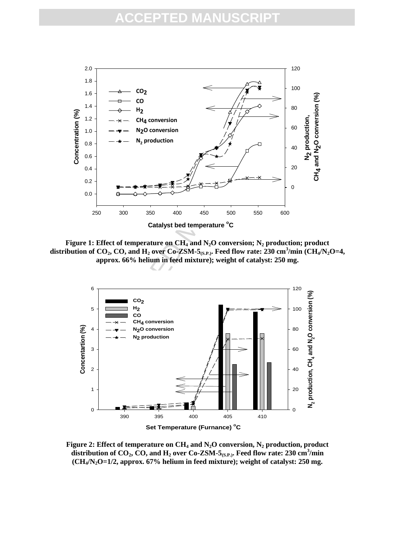

**Figure 1: Effect of temperature on CH<sup>4</sup> and N2O conversion; N<sup>2</sup> production; product distribution of CO2, CO, and H<sup>2</sup> over Co-ZSM-5(S.P.) . Feed flow rate: 230 cm<sup>3</sup> /min (CH4/N2O=4, approx. 66% helium in feed mixture); weight of catalyst: 250 mg.**



**Figure 2: Effect of temperature on CH<sup>4</sup> and N2O conversion, N<sup>2</sup> production, product distribution of CO2, CO, and H<sup>2</sup> over Co-ZSM-5(S.P.). Feed flow rate: 230 cm<sup>3</sup> /min (CH4/N2O=1/2, approx. 67% helium in feed mixture); weight of catalyst: 250 mg.**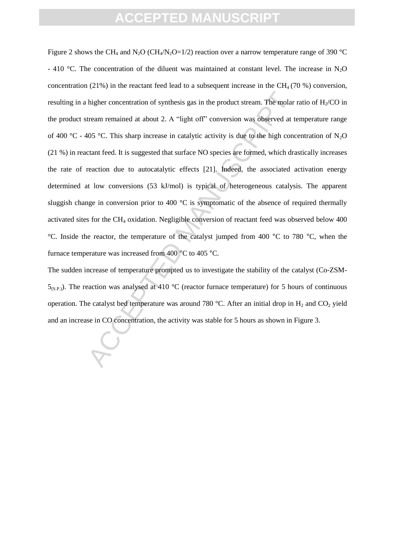higher concentration of synthesis gas in the product stream. The molar<br>tream remained at about 2. A "light off" conversion was observed at t<br>405 °C. This sharp increase in catalytic activity is due to the high concentrate Figure 2 shows the CH<sub>4</sub> and N<sub>2</sub>O (CH<sub>4</sub>/N<sub>2</sub>O=1/2) reaction over a narrow temperature range of 390 °C - 410 °C. The concentration of the diluent was maintained at constant level. The increase in  $N_2O$ concentration (21%) in the reactant feed lead to a subsequent increase in the  $CH<sub>4</sub>$  (70 %) conversion, resulting in a higher concentration of synthesis gas in the product stream. The molar ratio of  $H<sub>2</sub>/CO$  in the product stream remained at about 2. A "light off" conversion was observed at temperature range of 400 °C - 405 °C. This sharp increase in catalytic activity is due to the high concentration of N<sub>2</sub>O (21 %) in reactant feed. It is suggested that surface NO species are formed, which drastically increases the rate of reaction due to autocatalytic effects [21]. Indeed, the associated activation energy determined at low conversions (53 kJ/mol) is typical of heterogeneous catalysis. The apparent sluggish change in conversion prior to 400 °C is symptomatic of the absence of required thermally activated sites for the CH<sup>4</sup> oxidation. Negligible conversion of reactant feed was observed below 400 °C. Inside the reactor, the temperature of the catalyst jumped from 400 °C to 780 °C, when the furnace temperature was increased from 400 °C to 405 °C.

The sudden increase of temperature prompted us to investigate the stability of the catalyst (Co-ZSM- $5_{(S.P.)}$ ). The reaction was analysed at 410 °C (reactor furnace temperature) for 5 hours of continuous operation. The catalyst bed temperature was around 780 °C. After an initial drop in  $H_2$  and CO<sub>2</sub> yield and an increase in CO concentration, the activity was stable for 5 hours as shown in Figure 3.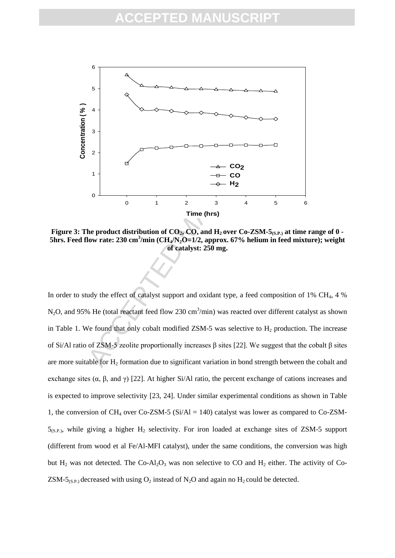

**Figure 3: The product distribution of CO2, CO, and H2 over Co-ZSM-5(S.P.) at time range of 0 - 5hrs. Feed flow rate: 230 cm<sup>3</sup> /min (CH4/N2O=1/2, approx. 67% helium in feed mixture); weight of catalyst: 250 mg.**

In order to study the effect of catalyst support and oxidant type, a feed composition of 1% CH<sub>4</sub>, 4 %  $N_2$ O, and 95% He (total reactant feed flow 230 cm<sup>3</sup>/min) was reacted over different catalyst as shown in Table 1. We found that only cobalt modified ZSM-5 was selective to  $H_2$  production. The increase of Si/Al ratio of ZSM-5 zeolite proportionally increases β sites [22]. We suggest that the cobalt β sites are more suitable for  $H_2$  formation due to significant variation in bond strength between the cobalt and exchange sites  $(\alpha, \beta, \text{ and } \gamma)$  [22]. At higher Si/Al ratio, the percent exchange of cations increases and is expected to improve selectivity [23, 24]. Under similar experimental conditions as shown in Table 1, the conversion of  $CH_4$  over Co-ZSM-5 (Si/Al = 140) catalyst was lower as compared to Co-ZSM- $5_{(S.P.)}$ , while giving a higher H<sub>2</sub> selectivity. For iron loaded at exchange sites of ZSM-5 support (different from wood et al Fe/Al-MFI catalyst), under the same conditions, the conversion was high but  $H_2$  was not detected. The Co-Al<sub>2</sub>O<sub>3</sub> was non selective to CO and  $H_2$  either. The activity of Co-ZSM-5<sub>(S.P.)</sub> decreased with using  $O_2$  instead of N<sub>2</sub>O and again no H<sub>2</sub> could be detected.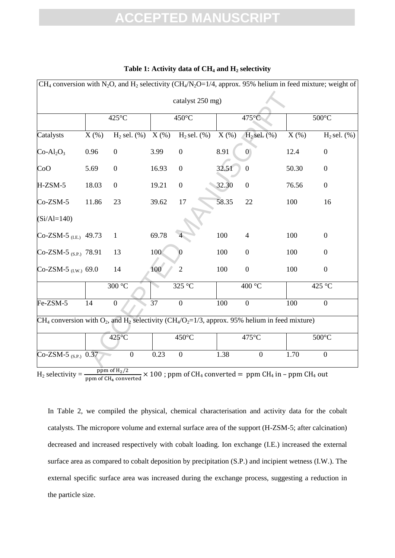| CH <sub>4</sub> conversion with N <sub>2</sub> O, and H <sub>2</sub> selectivity (CH <sub>4</sub> /N <sub>2</sub> O=1/4, approx. 95% helium in feed mixture; weight of |            |                    |                 |                   |            |                                                                                                    |            |                   |  |
|------------------------------------------------------------------------------------------------------------------------------------------------------------------------|------------|--------------------|-----------------|-------------------|------------|----------------------------------------------------------------------------------------------------|------------|-------------------|--|
|                                                                                                                                                                        |            |                    |                 | catalyst 250 mg)  |            |                                                                                                    |            |                   |  |
|                                                                                                                                                                        |            | $425^{\circ}$ C    |                 | 450°C             |            | 475°C                                                                                              |            | $500^{\circ}$ C   |  |
| Catalysts                                                                                                                                                              | $X$ $(\%)$ | $H_2$ sel. $(\% )$ | $X(\%)$         | $H_2$ sel. $(\%)$ | $X$ $(\%)$ | $H2$ sel. $(\%)$                                                                                   | $X$ $(\%)$ | $H_2$ sel. $(\%)$ |  |
| $Co-Al2O3$                                                                                                                                                             | 0.96       | $\boldsymbol{0}$   | 3.99            | $\boldsymbol{0}$  | 8.91       | $\overline{0}$                                                                                     | 12.4       | $\boldsymbol{0}$  |  |
| CoO                                                                                                                                                                    | 5.69       | $\boldsymbol{0}$   | 16.93           | $\boldsymbol{0}$  | 32.51      | $\boldsymbol{0}$                                                                                   | 50.30      | $\boldsymbol{0}$  |  |
| H-ZSM-5                                                                                                                                                                | 18.03      | $\boldsymbol{0}$   | 19.21           | $\boldsymbol{0}$  | 32.30      | $\boldsymbol{0}$                                                                                   | 76.56      | $\boldsymbol{0}$  |  |
| $Co-ZSM-5$                                                                                                                                                             | 11.86      | 23                 | 39.62           | 17                | 58.35      | 22                                                                                                 | 100        | 16                |  |
| $(Si/Al=140)$                                                                                                                                                          |            |                    |                 |                   |            |                                                                                                    |            |                   |  |
| Co-ZSM-5 $_{(LE)}$ 49.73                                                                                                                                               |            | $\mathbf{1}$       | 69.78           |                   | 100        | $\overline{4}$                                                                                     | 100        | $\boldsymbol{0}$  |  |
| Co-ZSM-5 $_{(S.P.)}$ 78.91                                                                                                                                             |            | 13                 | 100             |                   | 100        | $\boldsymbol{0}$                                                                                   | 100        | $\boldsymbol{0}$  |  |
| Co-ZSM-5 $_{(LW)}$ 69.0                                                                                                                                                |            | 14                 | 100             | $\overline{2}$    | 100        | $\boldsymbol{0}$                                                                                   | 100        | $\overline{0}$    |  |
|                                                                                                                                                                        |            | 300 °C             |                 | 325 °C            |            | 400 °C                                                                                             |            | 425 °C            |  |
| Fe-ZSM-5                                                                                                                                                               | 14         | $\overline{0}$     | $\overline{37}$ | $\overline{0}$    | 100        | $\overline{0}$                                                                                     | 100        | $\overline{0}$    |  |
| CH <sub>4</sub> conversion with $O_2$ , and H <sub>2</sub> selectivity (CH <sub>4</sub> /O <sub>2</sub> =1/3, approx. 95% helium in feed mixture)                      |            |                    |                 |                   |            |                                                                                                    |            |                   |  |
|                                                                                                                                                                        |            | $425^{\circ}$ C    |                 | $450^{\circ}$ C   |            | 475°C                                                                                              |            | $500^{\circ}$ C   |  |
| Co-ZSM-5 $(S.P.)$ 0.37                                                                                                                                                 |            | $\boldsymbol{0}$   | 0.23            | $\overline{0}$    | 1.38       | $\boldsymbol{0}$                                                                                   | 1.70       | $\overline{0}$    |  |
| $H_2$ selectivity = -                                                                                                                                                  |            | $ppm$ of $H2/2$    |                 |                   |            | $\times$ 100 : ppm of CH <sub>4</sub> converted = ppm CH <sub>4</sub> in - ppm CH <sub>4</sub> out |            |                   |  |

### **Table 1: Activity data of CH<sup>4</sup> and H<sup>2</sup> selectivity**

 $H_2$  selectivity =  $\overline{ppm}$  of CH<sub>4</sub> converted

In Table 2, we compiled the physical, chemical characterisation and activity data for the cobalt catalysts. The micropore volume and external surface area of the support (H-ZSM-5; after calcination) decreased and increased respectively with cobalt loading. Ion exchange (I.E.) increased the external surface area as compared to cobalt deposition by precipitation (S.P.) and incipient wetness (I.W.). The external specific surface area was increased during the exchange process, suggesting a reduction in the particle size.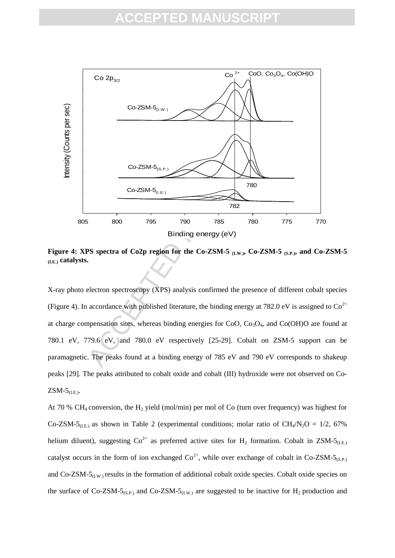### FPTFD MANUS



**Figure 4: XPS spectra of Co2p region for the Co-ZSM-5 (I.W.) , Co-ZSM-5 (S.P.) , and Co-ZSM-5 (I.E.) catalysts.**

X-ray photo electron spectroscopy (XPS) analysis confirmed the presence of different cobalt species (Figure 4). In accordance with published literature, the binding energy at 782.0 eV is assigned to  $Co^{2+}$ at charge compensation sites, whereas binding energies for CoO,  $Co<sub>3</sub>O<sub>4</sub>$ , and  $Co(OH)O$  are found at 780.1 eV, 779.6 eV, and 780.0 eV respectively [25-29]. Cobalt on ZSM-5 support can be paramagnetic. The peaks found at a binding energy of 785 eV and 790 eV corresponds to shakeup peaks [29]. The peaks attributed to cobalt oxide and cobalt (III) hydroxide were not observed on Co- $ZSM-5$ <sub>(I.E.)</sub>.

At 70 % CH<sub>4</sub> conversion, the H<sub>2</sub> yield (mol/min) per mol of Co (turn over frequency) was highest for Co-ZSM-5<sub>(I.E.</sub>) as shown in Table 2 (experimental conditions; molar ratio of CH<sub>4</sub>/N<sub>2</sub>O = 1/2, 67% helium diluent), suggesting  $Co^{2+}$  as preferred active sites for H<sub>2</sub> formation. Cobalt in ZSM-5<sub>(I.E.)</sub> catalyst occurs in the form of ion exchanged  $Co^{2+}$ , while over exchange of cobalt in Co-ZSM-5<sub>(S.P.)</sub> and  $Co-ZSM-5<sub>(LW)</sub>$  results in the formation of additional cobalt oxide species. Cobalt oxide species on the surface of Co-ZSM-5<sub>(S.P.)</sub> and Co-ZSM-5<sub>(I.W.)</sub> are suggested to be inactive for H<sub>2</sub> production and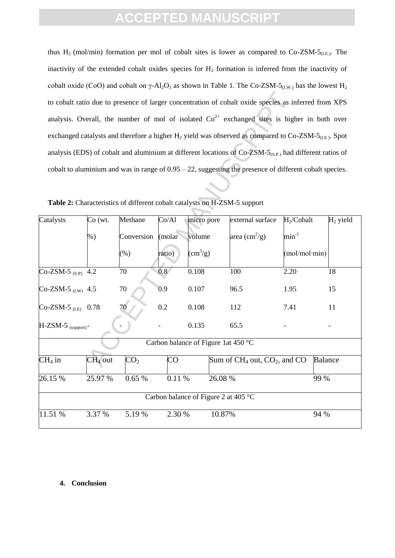thus  $H_2$  (mol/min) formation per mol of cobalt sites is lower as compared to Co-ZSM-5<sub>(I.E.</sub>). The inactivity of the extended cobalt oxides species for  $H_2$  formation is inferred from the inactivity of cobalt oxide (CoO) and cobalt on  $\gamma$ -Al<sub>2</sub>O<sub>3</sub> as shown in Table 1. The Co-ZSM-5<sub>(I.W.)</sub> has the lowest H<sub>2</sub> to cobalt ratio due to presence of larger concentration of cobalt oxide species as inferred from XPS analysis. Overall, the number of mol of isolated  $Co<sup>2+</sup>$  exchanged sites is higher in both over exchanged catalysts and therefore a higher  $H_2$  yield was observed as compared to Co-ZSM-5<sub>(I.E.)</sub>. Spot analysis (EDS) of cobalt and aluminium at different locations of  $Co-ZSM-5_{(S.P.)}$  had different ratios of cobalt to aluminium and was in range of 0.95 – 22, suggesting the presence of different cobalt species.

**Table 2:** Characteristics of different cobalt catalysts on H-ZSM-5 support

|                                 |                                      |                   |                  |                                     | to cobalt ratio due to presence of larger concentration of cobalt oxide species as inferred from XPS                 |                        |            |  |  |
|---------------------------------|--------------------------------------|-------------------|------------------|-------------------------------------|----------------------------------------------------------------------------------------------------------------------|------------------------|------------|--|--|
|                                 |                                      |                   |                  |                                     | analysis. Overall, the number of mol of isolated $\text{Co}^{2+}$ exchanged sites is higher in both over             |                        |            |  |  |
|                                 |                                      |                   |                  |                                     | exchanged catalysts and therefore a higher $H_2$ yield was observed as compared to Co-ZSM-5 <sub>(I.E.)</sub> . Spot |                        |            |  |  |
|                                 |                                      |                   |                  |                                     | analysis (EDS) of cobalt and aluminium at different locations of $Co-ZSM-5_{(S,P)}$ had different ratios of          |                        |            |  |  |
|                                 |                                      |                   |                  |                                     | cobalt to aluminium and was in range of $0.95 - 22$ , suggesting the presence of different cobalt species.           |                        |            |  |  |
|                                 |                                      |                   |                  |                                     |                                                                                                                      |                        |            |  |  |
|                                 |                                      |                   |                  |                                     | Table 2: Characteristics of different cobalt catalysts on H-ZSM-5 support                                            |                        |            |  |  |
| Catalysts                       | $Co$ (wt.                            | Methane           | Co/Al            | micro pore                          | external surface                                                                                                     | H <sub>2</sub> /Cobalt | $H2$ yield |  |  |
|                                 | $%$ )                                | Conversion (molar |                  | volume                              | area $\text{cm}^2\text{/g}$ )                                                                                        | $\text{min}^{-1}$      |            |  |  |
|                                 |                                      | $(\%)$            | ratio)           | $\text{cm}^3\text{/g}$              |                                                                                                                      | (mol/mol·min)          |            |  |  |
| $Co-ZSM-5$ <sub>(S.P)</sub> 4.2 |                                      | 70                | $\overline{0.8}$ | 0.108                               | 100                                                                                                                  | 2.20                   | 18         |  |  |
| Co-ZSM-5 $(LW)$ 4.5             |                                      | 70                | 0.9              | 0.107                               | 96.5                                                                                                                 | 1.95                   | 15         |  |  |
| $Co-ZSM-5$ <sub>(LE)</sub> 0.78 |                                      | 70                | 0.2              | 0.108                               | 112                                                                                                                  | 7.41                   | 11         |  |  |
| $H-ZSM-5$ (support) -           |                                      |                   |                  | 0.135                               | 65.5                                                                                                                 |                        |            |  |  |
|                                 |                                      |                   |                  | Carbon balance of Figure 1at 450 °C |                                                                                                                      |                        |            |  |  |
| $CH4$ in                        | $CH4$ out                            | CO <sub>2</sub>   | $\rm CO$         |                                     | Sum of CH <sub>4</sub> out, CO <sub>2</sub> , and CO                                                                 | <b>Balance</b>         |            |  |  |
| 26.15 %                         | 25.97 %                              | 0.65%             | 0.11 %           |                                     | $26.08\%$                                                                                                            | 99 %                   |            |  |  |
|                                 | Carbon balance of Figure 2 at 405 °C |                   |                  |                                     |                                                                                                                      |                        |            |  |  |
| 11.51 %                         | 3.37 %                               | 5.19%             | 2.30 %           |                                     | 10.87%                                                                                                               | 94 %                   |            |  |  |

#### **4. Conclusion**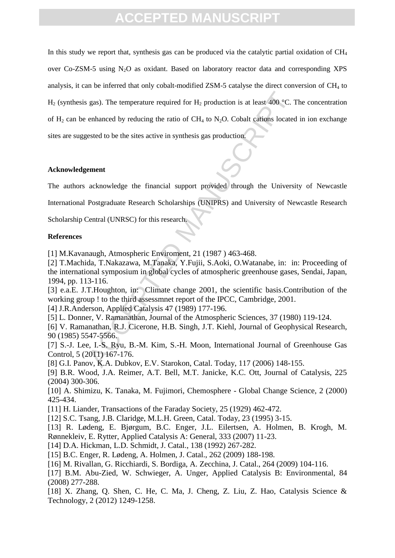gas). The temperature required for H<sub>2</sub> production is at least 400 °C. 1<br>
enhanced by reducing the ratio of CH<sub>4</sub> to N<sub>2</sub>O. Cobalt cations located<br>
ested to be the sites active in synthesis gas production.<br> **ennent**<br>
ackno In this study we report that, synthesis gas can be produced via the catalytic partial oxidation of  $CH<sub>4</sub>$ over Co-ZSM-5 using N<sub>2</sub>O as oxidant. Based on laboratory reactor data and corresponding XPS analysis, it can be inferred that only cobalt-modified ZSM-5 catalyse the direct conversion of  $CH<sub>4</sub>$  to H<sub>2</sub> (synthesis gas). The temperature required for H<sub>2</sub> production is at least 400 °C. The concentration of  $H_2$  can be enhanced by reducing the ratio of  $CH_4$  to N<sub>2</sub>O. Cobalt cations located in ion exchange sites are suggested to be the sites active in synthesis gas production.

#### **Acknowledgement**

The authors acknowledge the financial support provided through the University of Newcastle

International Postgraduate Research Scholarships (UNIPRS) and University of Newcastle Research

Scholarship Central (UNRSC) for this research.

### **References**

[1] M.Kavanaugh, Atmospheric Enviroment, 21 (1987 ) 463-468.

[2] T.Machida, T.Nakazawa, M.Tanaka, Y.Fujii, S.Aoki, O.Watanabe, in: in: Proceeding of the international symposium in global cycles of atmospheric greenhouse gases, Sendai, Japan, 1994, pp. 113-116.

[3] e.a.E. J.T.Houghton, in: Climate change 2001, the scientific basis.Contribution of the working group ! to the third assessmnet report of the IPCC, Cambridge, 2001.

[4] J.R.Anderson, Applied Catalysis 47 (1989) 177-196.

[5] L. Donner, V. Ramanathan, Journal of the Atmospheric Sciences, 37 (1980) 119-124.

[6] V. Ramanathan, R.J. Cicerone, H.B. Singh, J.T. Kiehl, Journal of Geophysical Research, 90 (1985) 5547-5566.

[7] S.-J. Lee, I.-S. Ryu, B.-M. Kim, S.-H. Moon, International Journal of Greenhouse Gas Control, 5 (2011) 167-176.

[8] G.I. Panov, K.A. Dubkov, E.V. Starokon, Catal. Today, 117 (2006) 148-155.

[9] B.R. Wood, J.A. Reimer, A.T. Bell, M.T. Janicke, K.C. Ott, Journal of Catalysis, 225 (2004) 300-306.

[10] A. Shimizu, K. Tanaka, M. Fujimori, Chemosphere - Global Change Science, 2 (2000) 425-434.

[11] H. Liander, Transactions of the Faraday Society, 25 (1929) 462-472.

[12] S.C. Tsang, J.B. Claridge, M.L.H. Green, Catal. Today, 23 (1995) 3-15.

[13] R. Lødeng, E. Bjørgum, B.C. Enger, J.L. Eilertsen, A. Holmen, B. Krogh, M. Rønnekleiv, E. Rytter, Applied Catalysis A: General, 333 (2007) 11-23.

[14] D.A. Hickman, L.D. Schmidt, J. Catal., 138 (1992) 267-282.

[15] B.C. Enger, R. Lødeng, A. Holmen, J. Catal., 262 (2009) 188-198.

[16] M. Rivallan, G. Ricchiardi, S. Bordiga, A. Zecchina, J. Catal., 264 (2009) 104-116.

[17] B.M. Abu-Zied, W. Schwieger, A. Unger, Applied Catalysis B: Environmental, 84 (2008) 277-288.

[18] X. Zhang, Q. Shen, C. He, C. Ma, J. Cheng, Z. Liu, Z. Hao, Catalysis Science & Technology, 2 (2012) 1249-1258.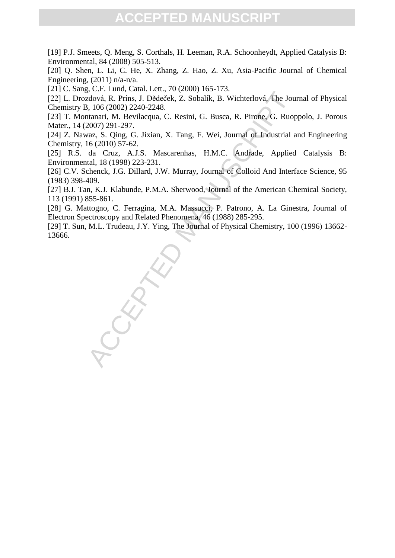[19] P.J. Smeets, Q. Meng, S. Corthals, H. Leeman, R.A. Schoonheydt, Applied Catalysis B: Environmental, 84 (2008) 505-513.

[20] O. Shen, L. Li, C. He, X. Zhang, Z. Hao, Z. Xu, Asia-Pacific Journal of Chemical Engineering, (2011) n/a-n/a.

[21] C. Sang, C.F. Lund, Catal. Lett., 70 (2000) 165-173.

[22] L. Drozdová, R. Prins, J. Dědeček, Z. Sobalík, B. Wichterlová, The Journal of Physical Chemistry B, 106 (2002) 2240-2248.

[23] T. Montanari, M. Bevilacqua, C. Resini, G. Busca, R. Pirone, G. Ruoppolo, J. Porous Mater., 14 (2007) 291-297.

[24] Z. Nawaz, S. Qing, G. Jixian, X. Tang, F. Wei, Journal of Industrial and Engineering Chemistry, 16 (2010) 57-62.

[25] R.S. da Cruz, A.J.S. Mascarenhas, H.M.C. Andrade, Applied Catalysis B: Environmental, 18 (1998) 223-231.

[26] C.V. Schenck, J.G. Dillard, J.W. Murray, Journal of Colloid And Interface Science, 95 (1983) 398-409.

[27] B.J. Tan, K.J. Klabunde, P.M.A. Sherwood, Journal of the American Chemical Society, 113 (1991) 855-861.

[28] G. Mattogno, C. Ferragina, M.A. Massucci, P. Patrono, A. La Ginestra, Journal of Electron Spectroscopy and Related Phenomena, 46 (1988) 285-295.

[29] T. Sun, M.L. Trudeau, J.Y. Ying, The Journal of Physical Chemistry, 100 (1996) 13662- 13666.

, e., a. r. zam., catam. zam., catam. zam.<br>
2dová, R. Prins, J. Dèdeček, Z. Sobalík, B. Wichterlová, The Jou<br>
1, 106 (2002) 2240-2248.<br>
1, 106 (2002) 2240-2248.<br>
1, 106 (2002) 2240-2248.<br>
2007) 291-297.<br>
2, 2007) 291-297.<br>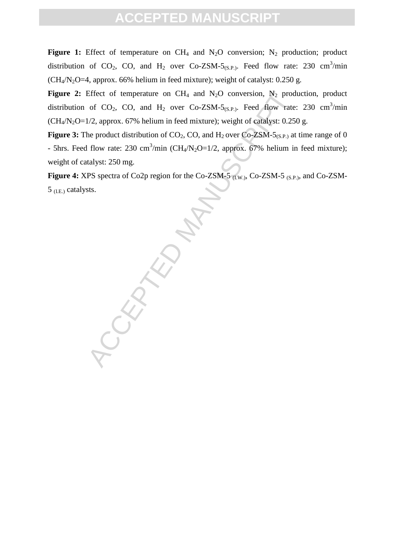**Figure 1:** Effect of temperature on  $CH_4$  and  $N_2O$  conversion;  $N_2$  production; product distribution of CO<sub>2</sub>, CO, and H<sub>2</sub> over Co-ZSM-5<sub>(S.P.)</sub>. Feed flow rate: 230 cm<sup>3</sup>/min  $(CH<sub>4</sub>/N<sub>2</sub>O=4,$  approx. 66% helium in feed mixture); weight of catalyst: 0.250 g.

**Figure 2:** Effect of temperature on  $CH_4$  and  $N_2O$  conversion,  $N_2$  production, product distribution of CO<sub>2</sub>, CO, and H<sub>2</sub> over Co-ZSM-5<sub>(S.P.)</sub>. Feed flow rate: 230 cm<sup>3</sup>/min  $(CH<sub>4</sub>/N<sub>2</sub>O=1/2,$  approx. 67% helium in feed mixture); weight of catalyst: 0.250 g.

**Figure 3:** The product distribution of  $CO_2$ ,  $CO$ , and  $H_2$  over  $Co-ZSM-5(S.P.)$  at time range of 0 - 5hrs. Feed flow rate: 230 cm<sup>3</sup>/min (CH<sub>4</sub>/N<sub>2</sub>O=1/2, approx. 67% helium in feed mixture); weight of catalyst: 250 mg.

Figure 4: XPS spectra of Co2p region for the Co-ZSM-5 <sub>(I.W.)</sub>, Co-ZSM-5 <sub>(S.P.)</sub>, and Co-ZSM- $5$  (I.E.) catalysts.

**CEPTED**